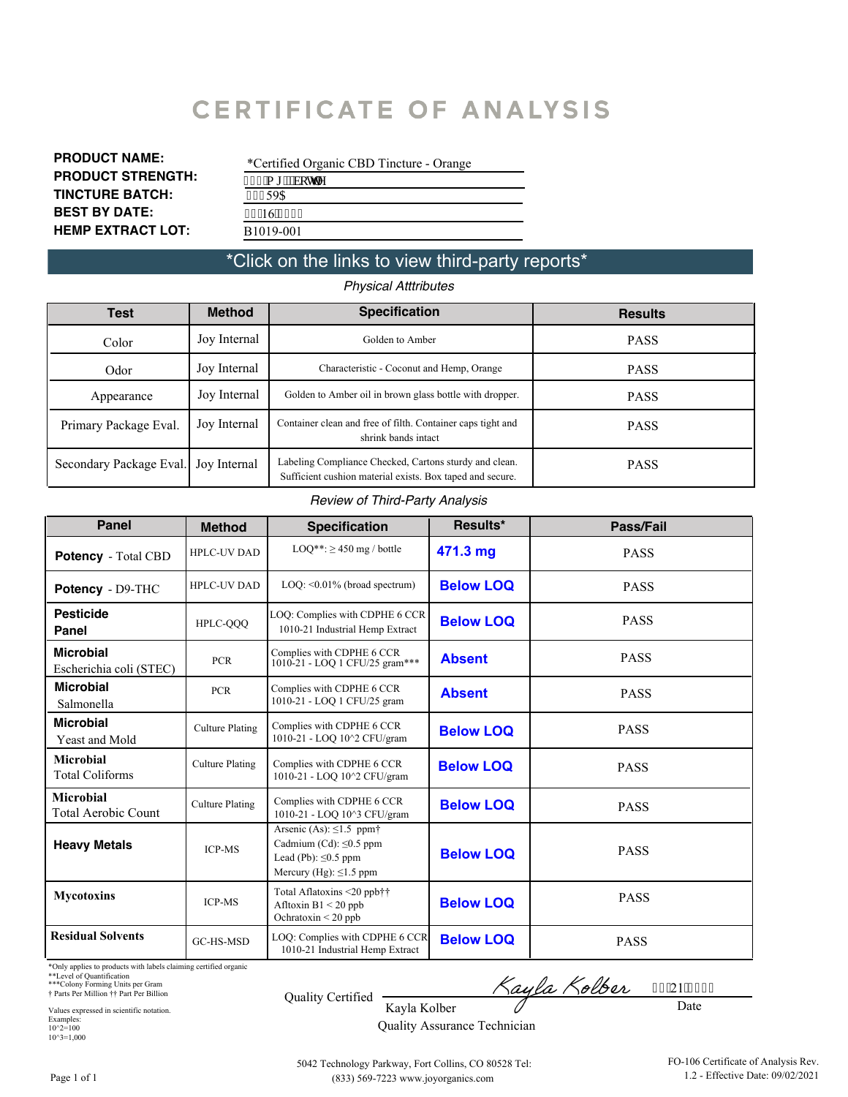# **CERTIFICATE OF ANALYSIS**

| <b>PRODUCT NAME:</b>     |
|--------------------------|
| <b>PRODUCT STRENGTH:</b> |
| <b>TINCTURE BATCH:</b>   |
| <b>BEST BY DATE:</b>     |
| <b>HEMP EXTRACT LOT:</b> |

| *Certified Organic CBD Tincture - Orange |
|------------------------------------------|
| $672$ "o i "I'dqwmg                      |
| 43459C                                   |
| 2511614245                               |
| B <sub>1019</sub> -001                   |

#### \*Click on the links to view third-party reports\*

*Physical Atttributes*

| Test                    | <b>Method</b> | <b>Specification</b>                                                                                                | <b>Results</b> |
|-------------------------|---------------|---------------------------------------------------------------------------------------------------------------------|----------------|
| Color                   | Joy Internal  | Golden to Amber                                                                                                     | <b>PASS</b>    |
| Odor                    | Joy Internal  | Characteristic - Coconut and Hemp, Orange                                                                           | <b>PASS</b>    |
| Appearance              | Joy Internal  | Golden to Amber oil in brown glass bottle with dropper.                                                             | <b>PASS</b>    |
| Primary Package Eval.   | Joy Internal  | Container clean and free of filth. Container caps tight and<br>shrink bands intact                                  | <b>PASS</b>    |
| Secondary Package Eval. | Joy Internal  | Labeling Compliance Checked, Cartons sturdy and clean.<br>Sufficient cushion material exists. Box taped and secure. | <b>PASS</b>    |

#### *Review of Third-Party Analysis*

| <b>Panel</b>                                | <b>Method</b>          | <b>Specification</b>                                                                                                                | Results*         | Pass/Fail   |
|---------------------------------------------|------------------------|-------------------------------------------------------------------------------------------------------------------------------------|------------------|-------------|
| <b>Potency</b> - Total CBD                  | <b>HPLC-UV DAD</b>     | $LOO**: \ge 450$ mg / bottle                                                                                                        | 471.3 mg         | <b>PASS</b> |
| Potency - D9-THC                            | <b>HPLC-UV DAD</b>     | $LOQ: \leq 0.01\%$ (broad spectrum)                                                                                                 | <b>Below LOQ</b> | <b>PASS</b> |
| <b>Pesticide</b><br>Panel                   | HPLC-QQQ               | LOQ: Complies with CDPHE 6 CCR<br>1010-21 Industrial Hemp Extract                                                                   | <b>Below LOQ</b> | <b>PASS</b> |
| <b>Microbial</b><br>Escherichia coli (STEC) | <b>PCR</b>             | Complies with CDPHE 6 CCR<br>1010-21 - LOO 1 CFU/25 gram***                                                                         | <b>Absent</b>    | <b>PASS</b> |
| <b>Microbial</b><br>Salmonella              | <b>PCR</b>             | Complies with CDPHE 6 CCR<br>1010-21 - LOQ 1 CFU/25 gram                                                                            | <b>Absent</b>    | <b>PASS</b> |
| <b>Microbial</b><br>Yeast and Mold          | <b>Culture Plating</b> | Complies with CDPHE 6 CCR<br>1010-21 - LOQ 10^2 CFU/gram                                                                            | <b>Below LOQ</b> | <b>PASS</b> |
| <b>Microbial</b><br><b>Total Coliforms</b>  | <b>Culture Plating</b> | Complies with CDPHE 6 CCR<br>1010-21 - LOQ 10^2 CFU/gram                                                                            | <b>Below LOO</b> | <b>PASS</b> |
| <b>Microbial</b><br>Total Aerobic Count     | <b>Culture Plating</b> | Complies with CDPHE 6 CCR<br>1010-21 - LOQ 10^3 CFU/gram                                                                            | <b>Below LOQ</b> | <b>PASS</b> |
| <b>Heavy Metals</b>                         | <b>ICP-MS</b>          | Arsenic (As): $\leq$ 1.5 ppm $\dagger$<br>Cadmium (Cd): $\leq 0.5$ ppm<br>Lead (Pb): $\leq 0.5$ ppm<br>Mercury (Hg): $\leq$ 1.5 ppm | <b>Below LOQ</b> | <b>PASS</b> |
| <b>Mycotoxins</b>                           | <b>ICP-MS</b>          | Total Aflatoxins <20 ppb††<br>Afltoxin $B1 < 20$ ppb<br>Ochratoxin $\leq$ 20 ppb                                                    | <b>Below LOQ</b> | <b>PASS</b> |
| <b>Residual Solvents</b>                    | GC-HS-MSD              | LOQ: Complies with CDPHE 6 CCR<br>1010-21 Industrial Hemp Extract                                                                   | <b>Below LOQ</b> | <b>PASS</b> |

\*Only applies to products with labels claiming certified organic

\*\*Level of Quantification \*\*\*Colony Forming Units per Gram † Parts Per Million †† Part Per Billion

Kayla Kolber 2; 121 14243

Date

Values expressed in scientific notation. Examples: 10^2=100 10^3=1,000

Quality Assurance Technician

5042 Technology Parkway, Fort Collins, CO 80528 Tel: (833) 569-7223 www.joyorganics.com

Quality Certified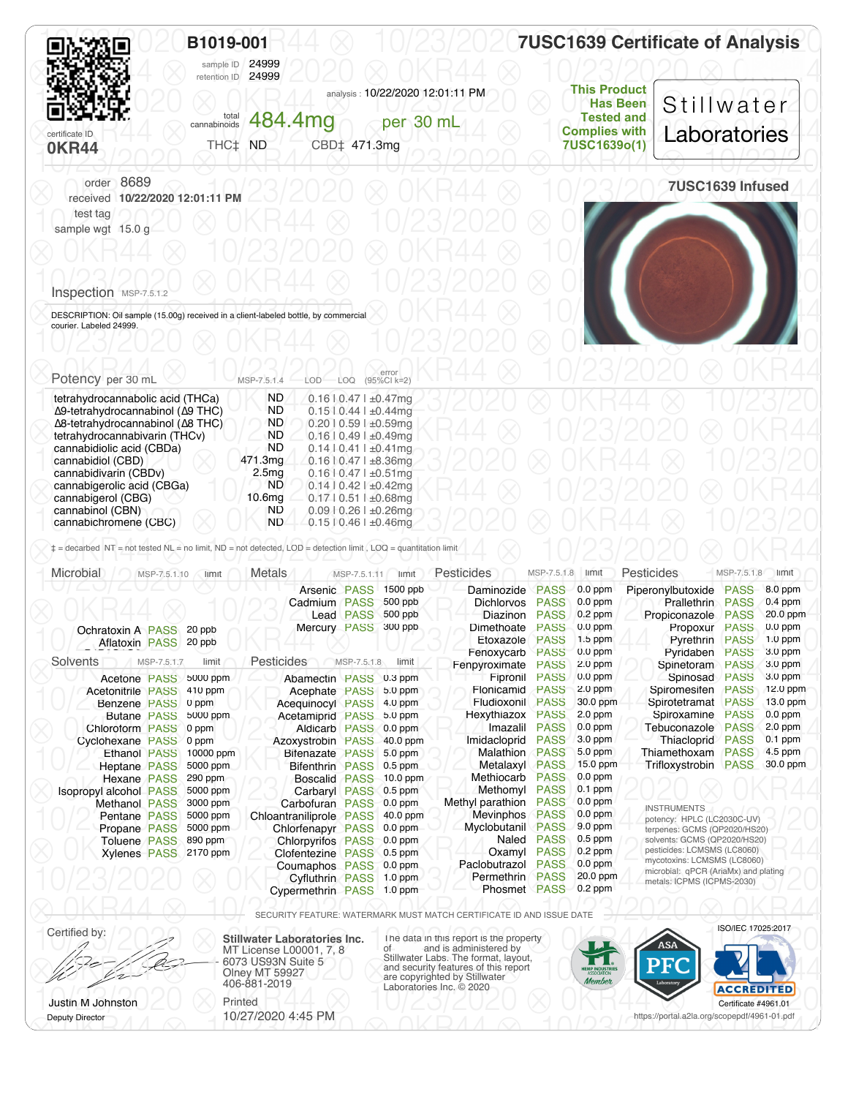<span id="page-1-0"></span>

|                                               | B1019-001<br>24999<br>sample ID                                |                                                                                                                                                      | <b>7USC1639 Certificate of Analysis</b> |
|-----------------------------------------------|----------------------------------------------------------------|------------------------------------------------------------------------------------------------------------------------------------------------------|-----------------------------------------|
| certificate ID<br><b>OKR44</b>                | retention ID 24999<br>total 484.4mg<br>THC‡ ND<br>CBD‡ 471.3mg | <b>This Product</b><br>analysis: 10/22/2020 12:01:11 PM<br><b>Has Been</b><br><b>Tested and</b><br>per 30 mL<br><b>Complies with</b><br>7USC1639o(1) | Stillwater<br>Laboratories              |
| order 8689<br>received 10/22/2020 12:01:11 PM |                                                                |                                                                                                                                                      | 7USC1639 Infused                        |
| test tag<br>sample wgt 15.0 g                 |                                                                |                                                                                                                                                      |                                         |
|                                               |                                                                |                                                                                                                                                      |                                         |
| Inspection MSP-7.5.1.2                        |                                                                |                                                                                                                                                      |                                         |

OC DESCRIPTION: Oil sample (15.00g) received in a client-labeled bottle, by commercial **ACR44 © 10/23/2020** 10/23/2020 ⨂ 0KR44 ⨂ 10/23/2020 ⨂ 0KR44 ⨂ 10/23/2020 courier. Labeled 24999.

| Potency per 30 mL                | MSP-7.5.1.4        | error<br>(95%CI k=2)<br>LOD<br>LOQ |  |  |
|----------------------------------|--------------------|------------------------------------|--|--|
| tetrahydrocannabolic acid (THCa) | <b>ND</b>          | $0.16$   $0.47$   $\pm 0.47$ mg    |  |  |
| Δ9-tetrahydrocannabinol (Δ9 THC) | ND.                | $0.1510.441 \pm 0.44$ mg           |  |  |
| Δ8-tetrahydrocannabinol (Δ8 THC) | ND.                | $0.2010.591 \pm 0.59$ mq           |  |  |
| tetrahydrocannabivarin (THCv)    | <b>ND</b>          | $0.16$   $0.49$   $\pm 0.49$ mg    |  |  |
| cannabidiolic acid (CBDa)        | ND.                | $0.14$   $0.41$   $\pm 0.41$ mg    |  |  |
| cannabidiol (CBD)                | 471.3mg            | $0.16$   $0.47$   $\pm 8.36$ mg    |  |  |
| cannabidivarin (CBDv)            | 2.5 <sub>mq</sub>  | $0.16$   $0.47$   $\pm 0.51$ mg    |  |  |
| cannabigerolic acid (CBGa)       | ND.                | $0.14$   $0.42$   $\pm 0.42$ mq    |  |  |
| cannabigerol (CBG)               | 10.6 <sub>mg</sub> | $0.17$   $0.51$   $\pm 0.68$ mg    |  |  |
| cannabinol (CBN)                 | ND                 | $0.09$   0.26   ±0.26mg            |  |  |
| cannabichromene (CBC)            | <b>ND</b>          | $0.15$   0.46   $\pm 0.46$ mg      |  |  |

| Microbial                | MSP-7.5.1.10        | limit                 | <b>Metals</b>            | MSP-7.5.1.11     | limit          | Pesticides          | MSP-7.5.1.8 | limit     | <b>Pesticides</b>                                                   | MSP-7.5.1.8 | limit     |
|--------------------------|---------------------|-----------------------|--------------------------|------------------|----------------|---------------------|-------------|-----------|---------------------------------------------------------------------|-------------|-----------|
|                          |                     |                       | Arsenic PASS             |                  | 1500 ppb       | Daminozide          | <b>PASS</b> | $0.0$ ppm | Piperonylbutoxide                                                   | <b>PASS</b> | 8.0 ppm   |
|                          |                     |                       | Cadmium PASS             |                  | 500 ppb        | <b>Dichlorvos</b>   | <b>PASS</b> | $0.0$ ppm | <b>Prallethrin</b>                                                  | <b>PASS</b> | $0.4$ ppm |
|                          |                     |                       |                          | <b>Lead PASS</b> | 500 ppb        | Diazinon            | <b>PASS</b> | $0.2$ ppm | Propiconazole                                                       | <b>PASS</b> | 20.0 ppm  |
| Ochratoxin A PASS 20 ppb |                     |                       | Mercury PASS             |                  | 300 ppb        | Dimethoate          | <b>PASS</b> | $0.0$ ppm | Propoxur                                                            | <b>PASS</b> | $0.0$ ppm |
| Aflatoxin PASS 20 ppb    |                     |                       |                          |                  |                | Etoxazole           | <b>PASS</b> | $1.5$ ppm | Pyrethrin                                                           | <b>PASS</b> | $1.0$ ppm |
|                          |                     |                       |                          |                  |                | Fenoxycarb          | <b>PASS</b> | $0.0$ ppm | Pyridaben                                                           | <b>PASS</b> | 3.0 ppm   |
| Solvents                 | MSP-7.5.1.7         | limit                 | Pesticides               | MSP-7.5.1.8      | limit          | Fenpyroximate       | <b>PASS</b> | 2.0 ppm   | Spinetoram                                                          | <b>PASS</b> | 3.0 ppm   |
| Acetone PASS             |                     | 5000 ppm              | Abamectin PASS 0.3 ppm   |                  |                | Fipronil            | <b>PASS</b> | $0.0$ ppm | Spinosad                                                            | <b>PASS</b> | $3.0$ ppm |
| <b>Acetonitrile PASS</b> |                     | 410 ppm               | Acephate PASS            |                  | 5.0 ppm        | Flonicamid          | <b>PASS</b> | $2.0$ ppm | Spiromesifen                                                        | <b>PASS</b> | 12.0 ppm  |
| <b>Benzene PASS</b>      |                     | 0 ppm                 | <b>Acequinocyl PASS</b>  |                  | 4.0 ppm        | Fludioxonil         | <b>PASS</b> | 30.0 ppm  | Spirotetramat                                                       | <b>PASS</b> | 13.0 ppm  |
|                          | <b>Butane PASS</b>  | 5000 ppm              | Acetamiprid PASS         |                  | $5.0$ ppm      | Hexythiazox         | <b>PASS</b> | $2.0$ ppm | Spiroxamine                                                         | <b>PASS</b> | $0.0$ ppm |
| Chloroform PASS          |                     | 0 ppm                 | <b>Aldicarb PASS</b>     |                  | $0.0$ ppm      | Imazalil            | <b>PASS</b> | $0.0$ ppm | Tebuconazole                                                        | <b>PASS</b> | $2.0$ ppm |
| Cyclohexane PASS         |                     | 0 ppm                 | Azoxystrobin PASS        |                  | 40.0 ppm       | Imidacloprid        | <b>PASS</b> | 3.0 ppm   | Thiacloprid                                                         | <b>PASS</b> | $0.1$ ppm |
|                          | <b>Ethanol PASS</b> | 10000 ppm             | Bifenazate PASS          |                  | $5.0$ ppm      | Malathion           | <b>PASS</b> | $5.0$ ppm | Thiamethoxam                                                        | <b>PASS</b> | $4.5$ ppm |
| <b>Heptane PASS</b>      |                     | 5000 ppm              | <b>Bifenthrin PASS</b>   |                  | $0.5$ ppm      | Metalaxyl           | <b>PASS</b> | 15.0 ppm  | Trifloxystrobin                                                     | <b>PASS</b> | 30.0 ppm  |
|                          | Hexane PASS         | 290 ppm               | Boscalid PASS 10.0 ppm   |                  |                | Methiocarb          | <b>PASS</b> | $0.0$ ppm |                                                                     |             |           |
| Isopropyl alcohol PASS   |                     | 5000 ppm              | Carbaryl PASS            |                  | $0.5$ ppm      | Methomyl            | <b>PASS</b> | $0.1$ ppm |                                                                     |             |           |
| <b>Methanol PASS</b>     |                     | 3000 ppm              | Carbofuran PASS          |                  | $0.0$ ppm      | Methyl parathion    | <b>PASS</b> | $0.0$ ppm | <b>INSTRUMENTS</b>                                                  |             |           |
| Pentane PASS             |                     | 5000 ppm              | Chloantraniliprole PASS  |                  | 40.0 ppm       | Mevinphos           | <b>PASS</b> | $0.0$ ppm | potency: HPLC (LC2030C-UV)                                          |             |           |
| Propane PASS             |                     | 5000 ppm              | Chlorfenapyr PASS        |                  | $0.0$ ppm      | Myclobutanil        | <b>PASS</b> | $9.0$ ppm | terpenes: GCMS (QP2020/HS20)                                        |             |           |
|                          | <b>Toluene PASS</b> | 890 ppm               | <b>Chlorpyrifos PASS</b> |                  | $\sim 0.0$ ppm | Naled               | <b>PASS</b> | $0.5$ ppm | solvents: GCMS (QP2020/HS20)                                        |             |           |
|                          |                     | Xylenes PASS 2170 ppm | <b>Clofentezine PASS</b> |                  | $0.5$ ppm      | Oxamyl              | <b>PASS</b> | $0.2$ ppm | pesticides: LCMSMS (LC8060)                                         |             |           |
|                          |                     |                       | Coumaphos PASS 0.0 ppm   |                  |                | Paclobutrazol       | <b>PASS</b> | $0.0$ ppm | mycotoxins: LCMSMS (LC8060)<br>microbial: qPCR (AriaMx) and plating |             |           |
|                          |                     |                       | <b>Cyfluthrin PASS</b>   |                  | $1.0$ ppm      | Permethrin          | <b>PASS</b> | 20.0 ppm  | metals: ICPMS (ICPMS-2030)                                          |             |           |
|                          |                     |                       | Cypermethrin PASS        |                  | $1.0$ ppm      | <b>Phosmet PASS</b> |             | $0.2$ ppm |                                                                     |             |           |

⨂ 0KR44 ⨂ 10/23/2020 ⨂ 0KR44 ⨂ 10/23/2020 ⨂ 0KR44 ⨂ SECURITY FEATURE: WATERMARK MUST MATCH CERTIFICATE ID AND ISSUE DATE

Certified by: **Stillwater Laboratories Inc.** MT License L00001, 7, 8 6073 US93N Suite 5 Olney MT 59927 406-881-2019 Justin M Johnston Printed

Deputy Director

10/27/2020 4:45 PM

Certified by:<br>
MT License L00001, 7, 8<br>
MT License L00001, 7, 8<br>
Stillwater Labs. The format, layout,<br>
Stillwater Labs. The format, layout, <u>Conception</u> CONSUSSIN Suite 5<br>
Olney MT 59927<br>
406-881-2019<br>
Laboratories Inc. © 2020<br>
Laboratories Inc. © 2020  $\frac{10}{20}$ Certificate #4961.01 ISO/IEC 17025:2017

 $\bigotimes_{i=1}^{\infty}$   $\bigwedge_{i=1}^{\infty}$  10/23/2020  $\bigotimes_{i=1}^{\infty}$  10/23/2020  $\bigotimes_{i=1}^{\infty}$ https://portal.a2la.org/scopepdf/4961-01.pdf